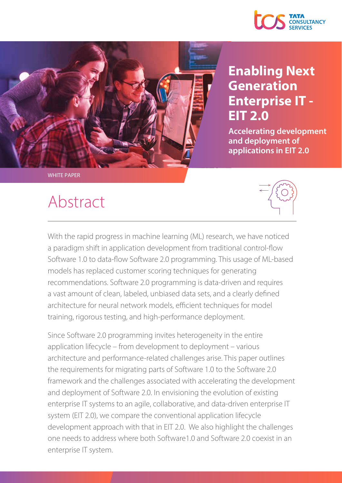

**Enabling Next** 

**Enterprise IT -** 

**Accelerating development** 

**Generation** 

**and deployment of applications in EIT 2.0** 

**EIT 2.0**



#### WHITE PAPER

## Abstract



With the rapid progress in machine learning (ML) research, we have noticed a paradigm shift in application development from traditional control-flow Software 1.0 to data-flow Software 2.0 programming. This usage of ML-based models has replaced customer scoring techniques for generating recommendations. Software 2.0 programming is data-driven and requires a vast amount of clean, labeled, unbiased data sets, and a clearly defined architecture for neural network models, efficient techniques for model training, rigorous testing, and high-performance deployment.

Since Software 2.0 programming invites heterogeneity in the entire application lifecycle – from development to deployment – various architecture and performance-related challenges arise. This paper outlines the requirements for migrating parts of Software 1.0 to the Software 2.0 framework and the challenges associated with accelerating the development and deployment of Software 2.0. In envisioning the evolution of existing enterprise IT systems to an agile, collaborative, and data-driven enterprise IT system (EIT 2.0), we compare the conventional application lifecycle development approach with that in EIT 2.0. We also highlight the challenges one needs to address where both Software1.0 and Software 2.0 coexist in an enterprise IT system.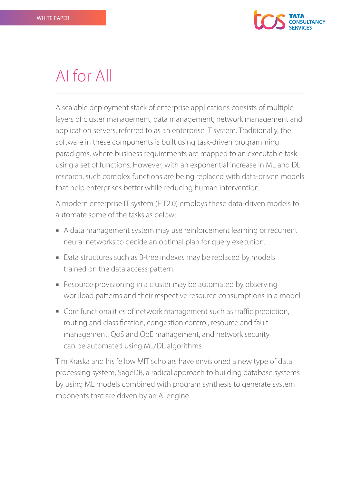

### AI for All

A scalable deployment stack of enterprise applications consists of multiple layers of cluster management, data management, network management and application servers, referred to as an enterprise IT system. Traditionally, the software in these components is built using task-driven programming paradigms, where business requirements are mapped to an executable task using a set of functions. However, with an exponential increase in ML and DL research, such complex functions are being replaced with data-driven models that help enterprises better while reducing human intervention.

A modern enterprise IT system (EIT2.0) employs these data-driven models to automate some of the tasks as below:

- A data management system may use reinforcement learning or recurrent neural networks to decide an optimal plan for query execution.
- Data structures such as B-tree indexes may be replaced by models trained on the data access pattern.
- Resource provisioning in a cluster may be automated by observing workload patterns and their respective resource consumptions in a model.
- Core functionalities of network management such as traffic prediction, routing and classification, congestion control, resource and fault management, QoS and QoE management, and network security can be automated using ML/DL algorithms.

Tim Kraska and his fellow MIT scholars have envisioned a new type of data processing system, SageDB, a radical approach to building database systems by using ML models combined with program synthesis to generate system mponents that are driven by an AI engine.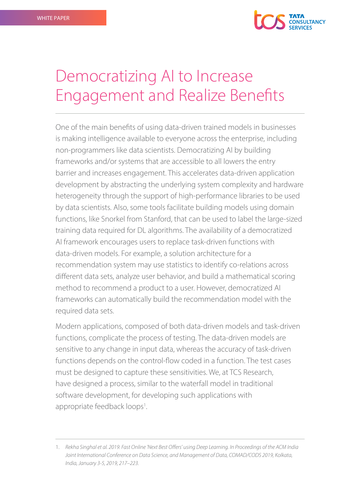

### Democratizing AI to Increase Engagement and Realize Benefits

One of the main benefits of using data-driven trained models in businesses is making intelligence available to everyone across the enterprise, including non-programmers like data scientists. Democratizing AI by building frameworks and/or systems that are accessible to all lowers the entry barrier and increases engagement. This accelerates data-driven application development by abstracting the underlying system complexity and hardware heterogeneity through the support of high-performance libraries to be used by data scientists. Also, some tools facilitate building models using domain functions, like Snorkel from Stanford, that can be used to label the large-sized training data required for DL algorithms. The availability of a democratized AI framework encourages users to replace task-driven functions with data-driven models. For example, a solution architecture for a recommendation system may use statistics to identify co-relations across different data sets, analyze user behavior, and build a mathematical scoring method to recommend a product to a user. However, democratized AI frameworks can automatically build the recommendation model with the required data sets.

Modern applications, composed of both data-driven models and task-driven functions, complicate the process of testing. The data-driven models are sensitive to any change in input data, whereas the accuracy of task-driven functions depends on the control-flow coded in a function. The test cases must be designed to capture these sensitivities. We, at TCS Research, have designed a process, similar to the waterfall model in traditional software development, for developing such applications with appropriate feedback loops<sup>1</sup>.

<sup>1.</sup> Rekha Singhal et al. 2019. Fast Online 'Next Best Offers' using Deep Learning. In Proceedings of the ACM India *Joint International Conference on Data Science, and Management of Data, COMAD/CODS 2019, Kolkata, India, January 3-5, 2019, 217–223.*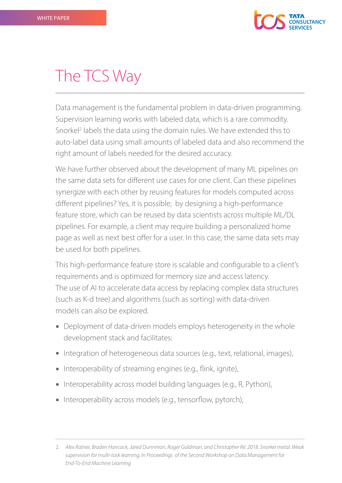

## The TCS Way

Data management is the fundamental problem in data-driven programming. Supervision learning works with labeled data, which is a rare commodity. Snorkel<sup>2</sup> labels the data using the domain rules. We have extended this to auto-label data using small amounts of labeled data and also recommend the right amount of labels needed for the desired accuracy.

We have further observed about the development of many ML pipelines on the same data sets for different use cases for one client. Can these pipelines synergize with each other by reusing features for models computed across different pipelines? Yes, it is possible; by designing a high-performance feature store, which can be reused by data scientists across multiple ML/DL pipelines. For example, a client may require building a personalized home page as well as next best offer for a user. In this case, the same data sets may be used for both pipelines.

This high-performance feature store is scalable and configurable to a client's requirements and is optimized for memory size and access latency. The use of AI to accelerate data access by replacing complex data structures (such as K-d tree) and algorithms (such as sorting) with data-driven models can also be explored.

- **Deployment of data-driven models employs heterogeneity in the whole** development stack and facilitates:
- Integration of heterogeneous data sources (e.g., text, relational, images),
- Interoperability of streaming engines (e.g., flink, ignite),
- Interoperability across model building languages (e.g., R, Python),
- Interoperability across models (e.g., tensorflow, pytorch),

<sup>2.</sup> *Alex Ratner, Braden Hancock, Jared Dunnmon, Roger Goldman, and Christopher Ré. 2018. Snorkel metal: Weak supervision for multi-task learning. In Proceedings of the Second Workshop on Data Management for End-To-End Machine Learning*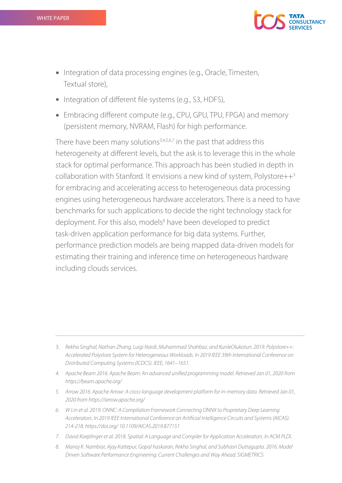

- Integration of data processing engines (e.g., Oracle, Timesten, Textual store),
- Integration of different file systems (e.g., S3, HDFS),
- Interpretive moracing different compute (e.g., CPU, GPU, TPU, FPGA) and memory (persistent memory, NVRAM, Flash) for high performance.

There have been many solutions<sup>3,4,5,6,7</sup> in the past that address this heterogeneity at different levels, but the ask is to leverage this in the whole stack for optimal performance. This approach has been studied in depth in collaboration with Stanford. It envisions a new kind of system, Polystore++3 for embracing and accelerating access to heterogeneous data processing engines using heterogeneous hardware accelerators. There is a need to have benchmarks for such applications to decide the right technology stack for deployment. For this also, models<sup>8</sup> have been developed to predict task-driven application performance for big data systems. Further, performance prediction models are being mapped data-driven models for estimating their training and inference time on heterogeneous hardware including clouds services.

- *4. Apache Beam 2016. Apache Beam: An advanced unied programming model. Retrieved Jan 01, 2020 from https://beam.apache.org/*
- *5. Arrow 2016. Apache Arrow: A cross-language development platform for in-memory data. Retrieved Jan 01, 2020 from https://arrow.apache.org/*
- *6. W Lin et al. 2019. ONNC: A Compilation Framework Connecting ONNX to Proprietary Deep Learning*  Accelerators. In 2019 IEEE International Conference on Artificial Intelligence Circuits and Systems (AICAS). *214-218. https://doi.org/ 10.1109/AICAS.2019.877151*
- *7. David Koeplinger et al. 2018. Spatial: A Language and Compiler for Application Accelerators. In ACM PLDI.*
- *8. Manoj K. Nambiar, Ajay Kattepur, Gopal haskaran, Rekha Singhal, and Subhasri Duttagupta. 2016. Model Driven Software Performance Engineering: Current Challenges and Way Ahead. SIGMETRICS*

<sup>3.</sup> *Rekha Singhal, Nathan Zhang, Luigi Nardi, Muhammad Shahbaz, and KunleOlukotun. 2019. Polystore++: Accelerated Polystore System for Heterogeneous Workloads. In 2019 IEEE 39th International Conference on Distributed Computing Systems (ICDCS). IEEE, 1641–1651.*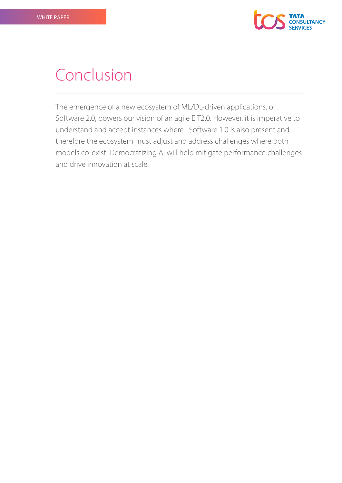

#### Conclusion

The emergence of a new ecosystem of ML/DL-driven applications, or Software 2.0, powers our vision of an agile EIT2.0. However, it is imperative to understand and accept instances where Software 1.0 is also present and therefore the ecosystem must adjust and address challenges where both models co-exist. Democratizing AI will help mitigate performance challenges and drive innovation at scale.